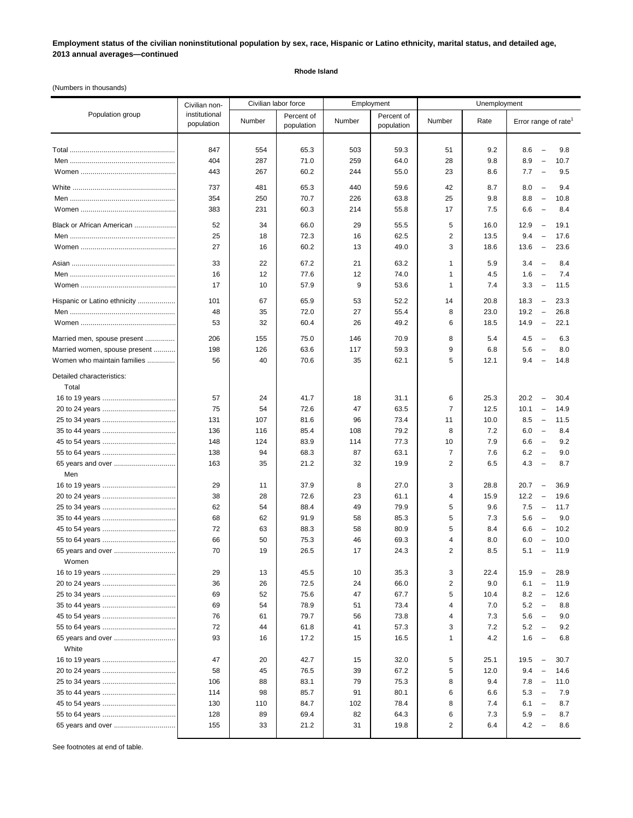**Employment status of the civilian noninstitutional population by sex, race, Hispanic or Latino ethnicity, marital status, and detailed age, 2013 annual averages—continued**

## **Rhode Island**

(Numbers in thousands)

|                                    | Civilian non-               | Civilian labor force<br>Employment |                          |        |                          | Unemployment   |      |                                                 |
|------------------------------------|-----------------------------|------------------------------------|--------------------------|--------|--------------------------|----------------|------|-------------------------------------------------|
| Population group                   | institutional<br>population | Number                             | Percent of<br>population | Number | Percent of<br>population | Number         | Rate | Error range of rate                             |
|                                    | 847                         | 554                                | 65.3                     | 503    | 59.3                     | 51             | 9.2  | 8.6<br>9.8<br>$\overline{\phantom{a}}$          |
|                                    | 404                         | 287                                | 71.0                     | 259    | 64.0                     | 28             | 9.8  | 8.9<br>10.7<br>$\overline{\phantom{a}}$         |
|                                    | 443                         | 267                                | 60.2                     | 244    | 55.0                     | 23             | 8.6  | 7.7<br>9.5<br>$\overline{\phantom{a}}$          |
|                                    |                             |                                    |                          |        |                          |                |      |                                                 |
|                                    | 737                         | 481                                | 65.3                     | 440    | 59.6                     | 42             | 8.7  | 8.0<br>$\overline{\phantom{a}}$<br>9.4          |
|                                    | 354                         | 250                                | 70.7                     | 226    | 63.8                     | 25             | 9.8  | 8.8<br>10.8<br>$\overline{\phantom{a}}$         |
|                                    | 383                         | 231                                | 60.3                     | 214    | 55.8                     | 17             | 7.5  | 6.6<br>8.4<br>$\overline{\phantom{a}}$          |
| Black or African American          | 52                          | 34                                 | 66.0                     | 29     | 55.5                     | 5              | 16.0 | 12.9<br>$\hspace{0.1mm}-\hspace{0.1mm}$<br>19.1 |
|                                    | 25                          | 18                                 | 72.3                     | 16     | 62.5                     | 2              | 13.5 | 9.4<br>17.6<br>$\overline{\phantom{a}}$         |
|                                    | 27                          | 16                                 | 60.2                     | 13     | 49.0                     | 3              | 18.6 | 13.6<br>23.6<br>$\hspace{0.1mm}-\hspace{0.1mm}$ |
|                                    | 33                          | 22                                 | 67.2                     | 21     | 63.2                     | 1              | 5.9  | 3.4<br>8.4<br>$\overline{\phantom{a}}$          |
|                                    | 16                          | 12                                 | 77.6                     | 12     | 74.0                     | 1              | 4.5  | 1.6<br>7.4<br>$\hspace{0.1mm}-\hspace{0.1mm}$   |
|                                    | 17                          | 10                                 | 57.9                     | 9      | 53.6                     | 1              | 7.4  | 3.3<br>11.5<br>$\hspace{0.1mm}-\hspace{0.1mm}$  |
| Hispanic or Latino ethnicity       | 101                         | 67                                 | 65.9                     | 53     | 52.2                     | 14             | 20.8 | 18.3<br>23.3<br>$\hspace{0.1mm}-\hspace{0.1mm}$ |
|                                    | 48                          | 35                                 | 72.0                     | 27     | 55.4                     | 8              | 23.0 | 19.2<br>26.8<br>$\hspace{0.1mm}-\hspace{0.1mm}$ |
|                                    | 53                          | 32                                 | 60.4                     | 26     | 49.2                     | 6              | 18.5 | 14.9<br>22.1<br>$\hspace{0.1mm}-\hspace{0.1mm}$ |
|                                    |                             |                                    |                          |        |                          |                |      |                                                 |
| Married men, spouse present        | 206                         | 155                                | 75.0                     | 146    | 70.9                     | 8              | 5.4  | 4.5<br>$\overline{\phantom{a}}$<br>6.3          |
| Married women, spouse present      | 198                         | 126                                | 63.6                     | 117    | 59.3                     | 9              | 6.8  | 5.6<br>8.0<br>$\overline{\phantom{a}}$          |
| Women who maintain families        | 56                          | 40                                 | 70.6                     | 35     | 62.1                     | 5              | 12.1 | 9.4<br>14.8<br>$\overline{\phantom{m}}$         |
| Detailed characteristics:<br>Total |                             |                                    |                          |        |                          |                |      |                                                 |
|                                    | 57                          | 24                                 | 41.7                     | 18     | 31.1                     | 6              | 25.3 | 20.2<br>$\overline{\phantom{a}}$<br>30.4        |
|                                    | 75                          | 54                                 | 72.6                     | 47     | 63.5                     | $\overline{7}$ | 12.5 | 10.1<br>14.9<br>$\overline{\phantom{a}}$        |
|                                    | 131                         | 107                                | 81.6                     | 96     | 73.4                     | 11             | 10.0 | 8.5<br>$\hspace{0.1mm}-\hspace{0.1mm}$<br>11.5  |
|                                    | 136                         | 116                                | 85.4                     | 108    | 79.2                     | 8              | 7.2  | 6.0<br>8.4<br>$\overline{\phantom{a}}$          |
|                                    | 148                         | 124                                | 83.9                     | 114    | 77.3                     | 10             | 7.9  | 6.6<br>9.2<br>$\overline{\phantom{a}}$          |
|                                    | 138                         | 94                                 | 68.3                     | 87     | 63.1                     | $\overline{7}$ | 7.6  | 6.2<br>$\overline{\phantom{m}}$<br>9.0          |
|                                    | 163                         | 35                                 | 21.2                     | 32     | 19.9                     | $\overline{2}$ | 6.5  | 4.3<br>$\hspace{0.1mm}-\hspace{0.1mm}$<br>8.7   |
| Men                                |                             |                                    |                          |        |                          |                |      |                                                 |
|                                    | 29                          | 11                                 | 37.9                     | 8      | 27.0                     | 3              | 28.8 | 20.7<br>$\overline{\phantom{a}}$<br>36.9        |
|                                    | 38                          | 28                                 | 72.6                     | 23     | 61.1                     | 4              | 15.9 | 12.2<br>$\overline{\phantom{a}}$<br>19.6        |
|                                    | 62                          | 54                                 | 88.4                     | 49     | 79.9                     | 5              | 9.6  | 7.5<br>$\hspace{0.1mm}-\hspace{0.1mm}$<br>11.7  |
|                                    | 68                          | 62                                 | 91.9                     | 58     | 85.3                     | 5              | 7.3  | 5.6<br>9.0<br>$\hspace{0.1mm}-\hspace{0.1mm}$   |
|                                    | 72                          | 63                                 | 88.3                     | 58     | 80.9                     | 5              | 8.4  | 6.6<br>10.2<br>$\hspace{0.1mm}-\hspace{0.1mm}$  |
|                                    | 66                          | 50                                 | 75.3                     | 46     | 69.3                     | 4              | 8.0  | 6.0<br>10.0<br>$\overline{\phantom{a}}$         |
| 65 years and over                  | 70                          | 19                                 | 26.5                     | 17     | 24.3                     | 2              | 8.5  | 5.1<br>11.9<br>$\overline{\phantom{m}}$         |
| Women                              | 29                          | 13                                 | 45.5                     | 10     | 35.3                     | 3              | 22.4 | 15.9<br>28.9<br>$\overline{\phantom{m}}$        |
|                                    | 36                          | 26                                 | 72.5                     | 24     | 66.0                     | 2              | 9.0  | 6.1<br>11.9<br>$\qquad \qquad -$                |
|                                    | 69                          | 52                                 | 75.6                     | 47     | 67.7                     | 5              | 10.4 | 8.2<br>12.6<br>$\hspace{0.1mm}-\hspace{0.1mm}$  |
|                                    | 69                          | 54                                 | 78.9                     | 51     | 73.4                     | 4              | 7.0  | 5.2<br>8.8<br>$\hspace{0.1mm}-\hspace{0.1mm}$   |
|                                    | 76                          | 61                                 | 79.7                     | 56     | 73.8                     | 4              | 7.3  | 5.6<br>9.0<br>$\overline{\phantom{a}}$          |
|                                    | 72                          | 44                                 | 61.8                     | 41     | 57.3                     | 3              | 7.2  | 5.2<br>9.2<br>$\hspace{0.1mm}-\hspace{0.1mm}$   |
|                                    | 93                          | 16                                 | 17.2                     | 15     | 16.5                     | 1              | 4.2  | 1.6<br>6.8<br>$\overline{\phantom{a}}$          |
| White                              |                             |                                    |                          |        |                          |                |      |                                                 |
|                                    | 47                          | 20                                 | 42.7                     | 15     | 32.0                     | 5              | 25.1 | 19.5<br>30.7<br>$\qquad \qquad -$               |
|                                    | 58                          | 45                                 | 76.5                     | 39     | 67.2                     | 5              | 12.0 | 9.4<br>$\overline{\phantom{a}}$<br>14.6         |
|                                    | 106                         | 88                                 | 83.1                     | 79     | 75.3                     | 8              | 9.4  | 7.8<br>11.0<br>$\overline{\phantom{a}}$         |
|                                    | 114                         | 98                                 | 85.7                     | 91     | 80.1                     | 6              | 6.6  | 5.3<br>7.9<br>$\hspace{0.1mm}-\hspace{0.1mm}$   |
|                                    | 130                         | 110                                | 84.7                     | 102    | 78.4                     | 8              | 7.4  | 8.7<br>6.1<br>$\overline{\phantom{a}}$          |
|                                    | 128                         | 89                                 | 69.4                     | 82     | 64.3                     | 6              | 7.3  | 8.7<br>5.9<br>$\overline{\phantom{a}}$          |
| 65 years and over                  | 155                         | 33                                 | 21.2                     | 31     | 19.8                     | $\overline{c}$ | 6.4  | 4.2<br>8.6<br>$\hspace{0.1mm}-\hspace{0.1mm}$   |
|                                    |                             |                                    |                          |        |                          |                |      |                                                 |

See footnotes at end of table.